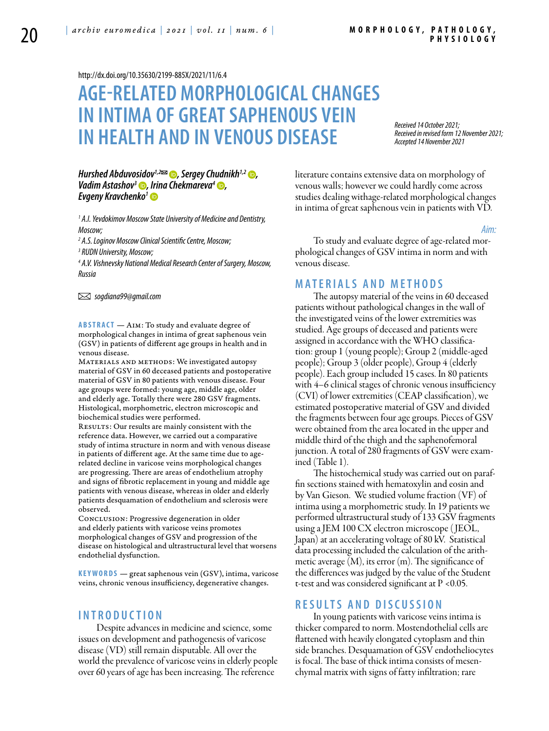<http://dx.doi.org/10.35630/2199-885X/2021/11/6.4>

# **AGE-RELATED MORPHOLOGICAL CHANGES IN INTIMA OF GREATSAPHENOUS VEIN IN HEALTH AND IN VENOUS DISEASE**

*Received 14 October 2021; Received in revised form 12 November 2021; Accepted 14 November 2021*

### *Hurshed Abduvosidov*<sup>1,2 $\approx$   $\bullet$ , [Sergey Chudnikh](https://orcid.org/0000-0001-6677-7830)<sup>1,2</sup>  $\bullet$ ,</sup> *Vadim Astashov<sup>3</sup> •, Irina Chekmareva<sup>4</sup> •, [Evgeny Kravchenko](https://orcid.org/0000-0001-8551-1421)1*

<sup>1</sup> A.I. Yevdokimov Moscow State University of Medicine and Dentistry, *Moscow;*

*2 A.S.Loginov Moscow Clinical Scientific Centre, Moscow;*

*3 RUDN University, Moscow;*

*4 A.V. Vishnevsky National Medical Research Center of Surgery, Moscow, Russia* 

 *sogdiana99@gmail.com* 

ABSTRACT - AIM: To study and evaluate degree of morphological changes in intima of great saphenous vein (GSV) in patients of different age groups in health and in venous disease.

MATERIALS AND METHODS: We investigated autopsy material of GSV in 60 deceased patients and postoperative material of GSV in 80 patients with venous disease. Four age groups were formed: young age, middle age, older and elderly age. Totally there were 280 GSV fragments. Histological, morphometric, electron microscopic and biochemical studies were performed.

RESULTS: Our results are mainly consistent with the reference data. However, we carried out a comparative study of intima structure in norm and with venous disease in patients of different age. At the same time due to agerelated decline in varicose veins morphological changes are progressing. There are areas of endothelium atrophy and signs of fibrotic replacement in young and middle age patients with venous disease, whereas in older and elderly patients desquamation of endothelium and sclerosis were observed.

Conclusion: Progressive degeneration in older and elderly patients with varicose veins promotes morphological changes of GSV and progression of the disease on histological and ultrastructural level that worsens endothelial dysfunction.

KEYWORDS — great saphenous vein (GSV), intima, varicose veins, chronic venous insufficiency, degenerative changes.

# **I n t r o d uct i o n**

Despite advances in medicine and science, some issues on development and pathogenesis of varicose disease (VD) still remain disputable. All over the world the prevalence of varicose veins in elderly people over 60 years of age has been increasing. The reference

literature contains extensive data on morphology of venous walls; however we could hardly come across studies dealing withage-related morphological changes in intima of great saphenous vein in patients with VD.

#### *Aim:*

To study and evaluate degree of age-related morphological changes of GSV intima in norm and with venous disease.

# **M a t e r i a l s a n d me t h o d s**

The autopsy material of the veins in 60 deceased patients without pathological changes in the wall of the investigated veins of the lower extremities was studied. Age groups of deceased and patients were assigned in accordance with the WHO classification: group 1 (young people); Group 2 (middle-aged people); Group 3 (older people), Group 4 (elderly people). Each group included 15 cases. In 80 patients with 4–6 clinical stages of chronic venous insufficiency (CVI) of lower extremities (CEAP classification), we estimated postoperative material of GSV and divided the fragments between four age groups. Pieces of GSV were obtained from the area located in the upper and middle third of the thigh and the saphenofemoral junction. A total of 280 fragments of GSV were examined (Table 1).

The histochemical study was carried out on paraffin sections stained with hematoxylin and eosin and by Van Gieson. We studied volume fraction (VF) of intima using a morphometric study. In 19 patients we performed ultrastructural study of 133 GSV fragments using a JEM 100 CX electron microscope ( JEOL, Japan) at an accelerating voltage of 80 kV. Statistical data processing included the calculation of the arithmetic average  $(M)$ , its error  $(m)$ . The significance of the differences was judged by the value of the Student t-test and was considered significant at P <0.05.

# **R e s u l t s a n d D i scu s s i o n**

In young patients with varicose veins intima is thicker compared to norm. Mostendothelial cells are flattened with heavily elongated cytoplasm and thin side branches. Desquamation of GSV endotheliocytes is focal. The base of thick intima consists of mesenchymal matrix with signs of fatty infiltration; rare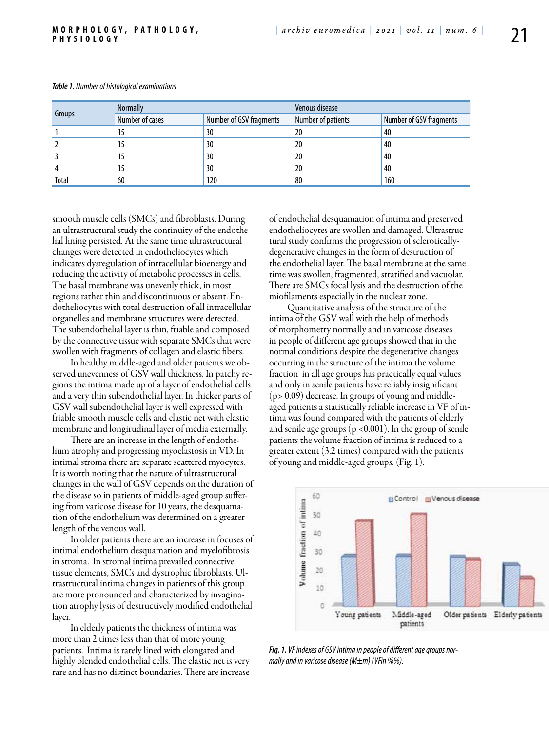| Groups | <b>Normally</b> |                         | Venous disease     |                         |
|--------|-----------------|-------------------------|--------------------|-------------------------|
|        | Number of cases | Number of GSV fragments | Number of patients | Number of GSV fragments |
|        | 15              | 30                      | 20                 | 40                      |
|        | 15              | 30                      | 20                 | 40                      |
|        | 15              | 30                      | 20                 | 40                      |
|        | 15              | 30                      | 20                 | 40                      |
| Total  | 60              | 120                     | 80                 | 160                     |

#### *Table 1. Number of histological examinations*

smooth muscle cells (SMCs) and fibroblasts. During an ultrastructural study the continuity of the endothelial lining persisted. At the same time ultrastructural changes were detected in endotheliocytes which indicates dysregulation of intracellular bioenergy and reducing the activity of metabolic processes in cells. The basal membrane was unevenly thick, in most regions rather thin and discontinuous or absent. Endotheliocytes with total destruction of all intracellular organelles and membrane structures were detected. The subendothelial layer is thin, friable and composed by the connective tissue with separate SMCs that were swollen with fragments of collagen and elastic fibers.

In healthy middle-aged and older patients we observed unevenness of GSV wall thickness. In patchy regions the intima made up of a layer of endothelial cells and a very thin subendothelial layer. In thicker parts of GSV wall subendothelial layer is well expressed with friable smooth muscle cells and elastic net with elastic membrane and longirudinal layer of media externally.

There are an increase in the length of endothelium atrophy and progressing myoelastosis in VD. In intimal stroma there are separate scattered myocytes. It is worth noting that the nature of ultrastructural changes in the wall of GSV depends on the duration of the disease so in patients of middle-aged group suffering from varicose disease for 10 years, the desquamation of the endothelium was determined on a greater length of the venous wall.

In older patients there are an increase in focuses of intimal endothelium desquamation and myelofibrosis in stroma. In stromal intima prevailed connective tissue elements, SMCs and dystrophic fibroblasts. Ultrastructural intima changes in patients of this group are more pronounced and characterized by invagination atrophy lysis of destructively modified endothelial layer.

In elderly patients the thickness of intima was more than 2 times less than that of more young patients. Intima is rarely lined with elongated and highly blended endothelial cells. The elastic net is very rare and has no distinct boundaries. There are increase

of endothelial desquamation of intima and preserved endotheliocytes are swollen and damaged. Ultrastructural study confirms the progression of scleroticallydegenerative changes in the form of destruction of the endothelial layer. The basal membrane at the same time was swollen, fragmented, stratified and vacuolar. There are SMCs focal lysis and the destruction of the miofilaments especially in the nuclear zone.

Quantitative analysis of the structure of the intima of the GSV wall with the help of methods of morphometry normally and in varicose diseases in people of different age groups showed that in the normal conditions despite the degenerative changes occurring in the structure of the intima the volume fraction in all age groups has practically equal values and only in senile patients have reliably insignificant (p> 0.09) decrease. In groups of young and middleaged patients a statistically reliable increase in VF of intima was found compared with the patients of elderly and senile age groups ( $p$  <0.001). In the group of senile patients the volume fraction of intima is reduced to a greater extent (3.2 times) compared with the patients of young and middle-aged groups. (Fig. 1).



*Fig. 1. VF indexes of GSV intima in people of different age groups normally and in varicose disease (М±m) (VFin %%).*